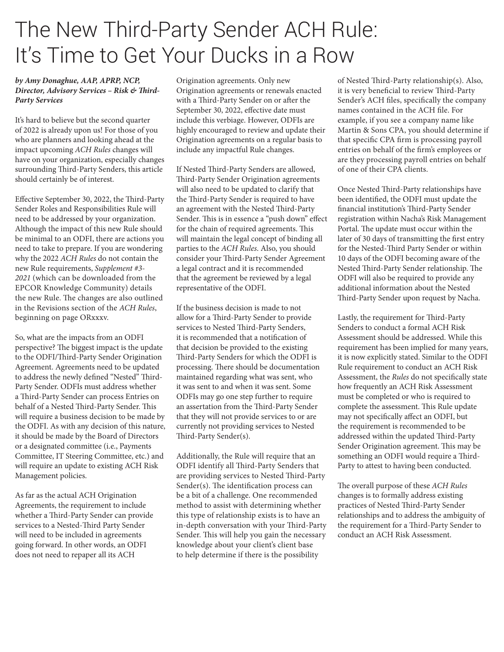## The New Third-Party Sender ACH Rule: It's Time to Get Your Ducks in a Row

## *by Amy Donaghue, AAP, APRP, NCP, Director, Advisory Services – Risk & Third-Party Services*

It's hard to believe but the second quarter of 2022 is already upon us! For those of you who are planners and looking ahead at the impact upcoming *ACH Rules* changes will have on your organization, especially changes surrounding Third-Party Senders, this article should certainly be of interest.

Effective September 30, 2022, the Third-Party Sender Roles and Responsibilities Rule will need to be addressed by your organization. Although the impact of this new Rule should be minimal to an ODFI, there are actions you need to take to prepare. If you are wondering why the 2022 *ACH Rules* do not contain the new Rule requirements, *Supplement #3- 2021* (which can be downloaded from the EPCOR Knowledge Community) details the new Rule. The changes are also outlined in the Revisions section of the *ACH Rules*, beginning on page ORxxxv.

So, what are the impacts from an ODFI perspective? The biggest impact is the update to the ODFI/Third-Party Sender Origination Agreement. Agreements need to be updated to address the newly defined "Nested" Third-Party Sender. ODFIs must address whether a Third-Party Sender can process Entries on behalf of a Nested Third-Party Sender. This will require a business decision to be made by the ODFI. As with any decision of this nature, it should be made by the Board of Directors or a designated committee (i.e., Payments Committee, IT Steering Committee, etc.) and will require an update to existing ACH Risk Management policies.

As far as the actual ACH Origination Agreements, the requirement to include whether a Third-Party Sender can provide services to a Nested-Third Party Sender will need to be included in agreements going forward. In other words, an ODFI does not need to repaper all its ACH

Origination agreements. Only new Origination agreements or renewals enacted with a Third-Party Sender on or after the September 30, 2022, effective date must include this verbiage. However, ODFIs are highly encouraged to review and update their Origination agreements on a regular basis to include any impactful Rule changes.

If Nested Third-Party Senders are allowed, Third-Party Sender Origination agreements will also need to be updated to clarify that the Third-Party Sender is required to have an agreement with the Nested Third-Party Sender. This is in essence a "push down" effect for the chain of required agreements. This will maintain the legal concept of binding all parties to the *ACH Rules*. Also, you should consider your Third-Party Sender Agreement a legal contract and it is recommended that the agreement be reviewed by a legal representative of the ODFI.

If the business decision is made to not allow for a Third-Party Sender to provide services to Nested Third-Party Senders, it is recommended that a notification of that decision be provided to the existing Third-Party Senders for which the ODFI is processing. There should be documentation maintained regarding what was sent, who it was sent to and when it was sent. Some ODFIs may go one step further to require an assertation from the Third-Party Sender that they will not provide services to or are currently not providing services to Nested Third-Party Sender(s).

Additionally, the Rule will require that an ODFI identify all Third-Party Senders that are providing services to Nested Third-Party Sender(s). The identification process can be a bit of a challenge. One recommended method to assist with determining whether this type of relationship exists is to have an in-depth conversation with your Third-Party Sender. This will help you gain the necessary knowledge about your client's client base to help determine if there is the possibility

of Nested Third-Party relationship(s). Also, it is very beneficial to review Third-Party Sender's ACH files, specifically the company names contained in the ACH file. For example, if you see a company name like Martin & Sons CPA, you should determine if that specific CPA firm is processing payroll entries on behalf of the firm's employees or are they processing payroll entries on behalf of one of their CPA clients.

Once Nested Third-Party relationships have been identified, the ODFI must update the financial institution's Third-Party Sender registration within Nacha's Risk Management Portal. The update must occur within the later of 30 days of transmitting the first entry for the Nested-Third Party Sender or within 10 days of the ODFI becoming aware of the Nested Third-Party Sender relationship. The ODFI will also be required to provide any additional information about the Nested Third-Party Sender upon request by Nacha.

Lastly, the requirement for Third-Party Senders to conduct a formal ACH Risk Assessment should be addressed. While this requirement has been implied for many years, it is now explicitly stated. Similar to the ODFI Rule requirement to conduct an ACH Risk Assessment, the *Rules* do not specifically state how frequently an ACH Risk Assessment must be completed or who is required to complete the assessment. This Rule update may not specifically affect an ODFI, but the requirement is recommended to be addressed within the updated Third-Party Sender Origination agreement. This may be something an ODFI would require a Third-Party to attest to having been conducted.

The overall purpose of these *ACH Rules* changes is to formally address existing practices of Nested Third-Party Sender relationships and to address the ambiguity of the requirement for a Third-Party Sender to conduct an ACH Risk Assessment.